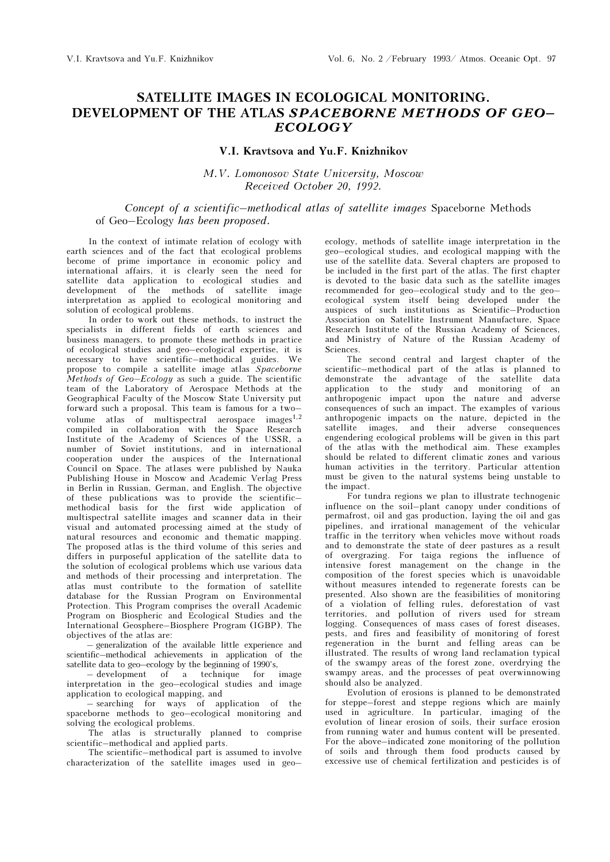## SATELLITE IMAGES IN ECOLOGICAL MONITORING. DEVELOPMENT OF THE ATLAS SPACEBORNE METHODS OF GEO– ECOLOGY

## V.I. Kravtsova and Yu.F. Knizhnikov

M.V. Lomonosov State University, Moscow Received October 20, 1992.

## Concept of a scientific–methodical atlas of satellite images Spaceborne Methods of Geo–Ecology has been proposed.

In the context of intimate relation of ecology with earth sciences and of the fact that ecological problems become of prime importance in economic policy and international affairs, it is clearly seen the need for satellite data application to ecological studies and development of the methods of satellite image interpretation as applied to ecological monitoring and solution of ecological problems.

In order to work out these methods, to instruct the specialists in different fields of earth sciences and business managers, to promote these methods in practice of ecological studies and geo–ecological expertise, it is necessary to have scientific–methodical guides. We propose to compile a satellite image atlas Spaceborne Methods of  $Geo-Ecology$  as such a guide. The scientific team of the Laboratory of Aerospace Methods at the Geographical Faculty of the Moscow State University put forward such a proposal. This team is famous for a two– volume atlas of multispectral aerospace images<sup>1,2</sup> compiled in collaboration with the Space Research Institute of the Academy of Sciences of the USSR, a number of Soviet institutions, and in international cooperation under the auspices of the International Council on Space. The atlases were published by Nauka Publishing House in Moscow and Academic Verlag Press in Berlin in Russian, German, and English. The objective of these publications was to provide the scientific– methodical basis for the first wide application of multispectral satellite images and scanner data in their visual and automated processing aimed at the study of natural resources and economic and thematic mapping. The proposed atlas is the third volume of this series and differs in purposeful application of the satellite data to the solution of ecological problems which use various data and methods of their processing and interpretation. The atlas must contribute to the formation of satellite database for the Russian Program on Environmental Protection. This Program comprises the overall Academic Program on Biospheric and Ecological Studies and the International Geosphere–Biosphere Program (IGBP). The objectives of the atlas are:

– generalization of the available little experience and scientific–methodical achievements in application of the satellite data to geo–ecology by the beginning of 1990's,

– development of a technique for image interpretation in the geo–ecological studies and image application to ecological mapping, and

– searching for ways of application of the spaceborne methods to geo–ecological monitoring and solving the ecological problems.

The atlas is structurally planned to comprise scientific–methodical and applied parts.

The scientific–methodical part is assumed to involve characterization of the satellite images used in geo–

ecology, methods of satellite image interpretation in the geo–ecological studies, and ecological mapping with the use of the satellite data. Several chapters are proposed to be included in the first part of the atlas. The first chapter is devoted to the basic data such as the satellite images recommended for geo–ecological study and to the geo– ecological system itself being developed under the auspices of such institutions as Scientific–Production Association on Satellite Instrument Manufacture, Space Research Institute of the Russian Academy of Sciences, and Ministry of Nature of the Russian Academy of Sciences.

The second central and largest chapter of the scientific–methodical part of the atlas is planned to demonstrate the advantage of the satellite data application to the study and monitoring of an anthropogenic impact upon the nature and adverse consequences of such an impact. The examples of various anthropogenic impacts on the nature, depicted in the satellite images, and their adverse consequences engendering ecological problems will be given in this part of the atlas with the methodical aim. These examples should be related to different climatic zones and various human activities in the territory. Particular attention must be given to the natural systems being unstable to the impact.

For tundra regions we plan to illustrate technogenic influence on the soil–plant canopy under conditions of permafrost, oil and gas production, laying the oil and gas pipelines, and irrational management of the vehicular traffic in the territory when vehicles move without roads and to demonstrate the state of deer pastures as a result of overgrazing. For taiga regions the influence of intensive forest management on the change in the composition of the forest species which is unavoidable without measures intended to regenerate forests can be presented. Also shown are the feasibilities of monitoring of a violation of felling rules, deforestation of vast territories, and pollution of rivers used for stream logging. Consequences of mass cases of forest diseases, pests, and fires and feasibility of monitoring of forest regeneration in the burnt and felling areas can be illustrated. The results of wrong land reclamation typical of the swampy areas of the forest zone, overdrying the swampy areas, and the processes of peat overwinnowing should also be analyzed.

Evolution of erosions is planned to be demonstrated for steppe–forest and steppe regions which are mainly used in agriculture. In particular, imaging of the evolution of linear erosion of soils, their surface erosion from running water and humus content will be presented. For the above–indicated zone monitoring of the pollution of soils and through them food products caused by excessive use of chemical fertilization and pesticides is of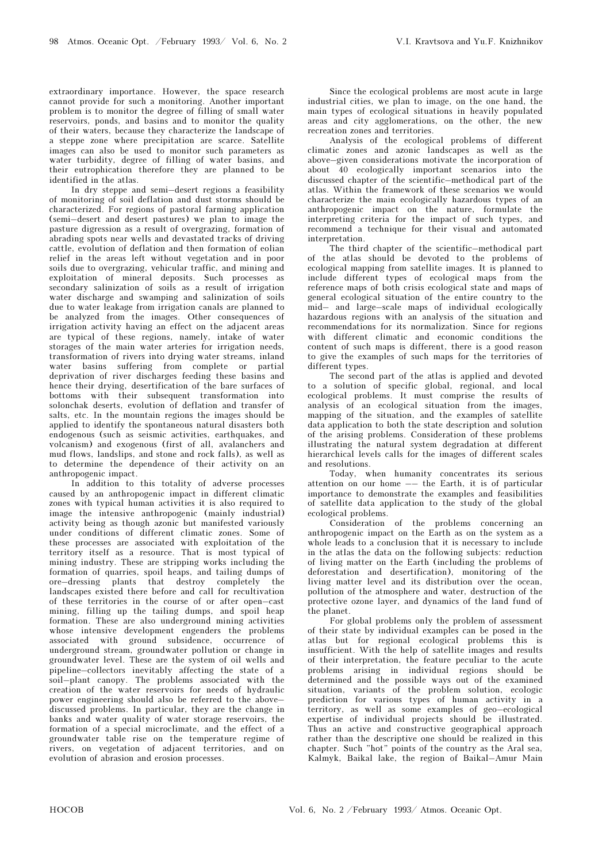extraordinary importance. However, the space research cannot provide for such a monitoring. Another important problem is to monitor the degree of filling of small water reservoirs, ponds, and basins and to monitor the quality of their waters, because they characterize the landscape of a steppe zone where precipitation are scarce. Satellite images can also be used to monitor such parameters as water turbidity, degree of filling of water basins, and their eutrophication therefore they are planned to be identified in the atlas.

In dry steppe and semi–desert regions a feasibility of monitoring of soil deflation and dust storms should be characterized. For regions of pastoral farming application (semi–desert and desert pastures) we plan to image the pasture digression as a result of overgrazing, formation of abrading spots near wells and devastated tracks of driving cattle, evolution of deflation and then formation of eolian relief in the areas left without vegetation and in poor soils due to overgrazing, vehicular traffic, and mining and exploitation of mineral deposits. Such processes as secondary salinization of soils as a result of irrigation water discharge and swamping and salinization of soils due to water leakage from irrigation canals are planned to be analyzed from the images. Other consequences of irrigation activity having an effect on the adjacent areas are typical of these regions, namely, intake of water storages of the main water arteries for irrigation needs, transformation of rivers into drying water streams, inland water basins suffering from complete or partial deprivation of river discharges feeding these basins and hence their drying, desertification of the bare surfaces of bottoms with their subsequent transformation into solonchak deserts, evolution of deflation and transfer of salts, etc. In the mountain regions the images should be applied to identify the spontaneous natural disasters both endogenous (such as seismic activities, earthquakes, and volcanism) and exogenous (first of all, avalanchers and mud flows, landslips, and stone and rock falls), as well as to determine the dependence of their activity on an anthropogenic impact.

In addition to this totality of adverse processes caused by an anthropogenic impact in different climatic zones with typical human activities it is also required to image the intensive anthropogenic (mainly industrial) activity being as though azonic but manifested variously under conditions of different climatic zones. Some of these processes are associated with exploitation of the territory itself as a resource. That is most typical of mining industry. These are stripping works including the formation of quarries, spoil heaps, and tailing dumps of ore–dressing plants that destroy completely the landscapes existed there before and call for recultivation of these territories in the course of or after open–cast mining, filling up the tailing dumps, and spoil heap formation. These are also underground mining activities whose intensive development engenders the problems associated with ground subsidence, occurrence of underground stream, groundwater pollution or change in groundwater level. These are the system of oil wells and pipeline–collectors inevitably affecting the state of a soil–plant canopy. The problems associated with the creation of the water reservoirs for needs of hydraulic power engineering should also be referred to the above– discussed problems. In particular, they are the change in banks and water quality of water storage reservoirs, the formation of a special microclimate, and the effect of a groundwater table rise on the temperature regime of rivers, on vegetation of adjacent territories, and on evolution of abrasion and erosion processes.

Since the ecological problems are most acute in large industrial cities, we plan to image, on the one hand, the main types of ecological situations in heavily populated areas and city agglomerations, on the other, the new recreation zones and territories.

Analysis of the ecological problems of different climatic zones and azonic landscapes as well as the above–given considerations motivate the incorporation of about 40 ecologically important scenarios into the discussed chapter of the scientific–methodical part of the atlas. Within the framework of these scenarios we would characterize the main ecologically hazardous types of an anthropogenic impact on the nature, formulate the interpreting criteria for the impact of such types, and recommend a technique for their visual and automated interpretation.

The third chapter of the scientific–methodical part of the atlas should be devoted to the problems of ecological mapping from satellite images. It is planned to include different types of ecological maps from the reference maps of both crisis ecological state and maps of general ecological situation of the entire country to the mid– and large–scale maps of individual ecologically hazardous regions with an analysis of the situation and recommendations for its normalization. Since for regions with different climatic and economic conditions the content of such maps is different, there is a good reason to give the examples of such maps for the territories of different types.

The second part of the atlas is applied and devoted to a solution of specific global, regional, and local ecological problems. It must comprise the results of analysis of an ecological situation from the images, mapping of the situation, and the examples of satellite data application to both the state description and solution of the arising problems. Consideration of these problems illustrating the natural system degradation at different hierarchical levels calls for the images of different scales and resolutions.

Today, when humanity concentrates its serious attention on our home –– the Earth, it is of particular importance to demonstrate the examples and feasibilities of satellite data application to the study of the global ecological problems.

Consideration of the problems concerning an anthropogenic impact on the Earth as on the system as a whole leads to a conclusion that it is necessary to include in the atlas the data on the following subjects: reduction of living matter on the Earth (including the problems of deforestation and desertification), monitoring of the living matter level and its distribution over the ocean, pollution of the atmosphere and water, destruction of the protective ozone layer, and dynamics of the land fund of the planet.

For global problems only the problem of assessment of their state by individual examples can be posed in the atlas but for regional ecological problems this is insufficient. With the help of satellite images and results of their interpretation, the feature peculiar to the acute problems arising in individual regions should be determined and the possible ways out of the examined situation, variants of the problem solution, ecologic prediction for various types of human activity in a territory, as well as some examples of geo–ecological expertise of individual projects should be illustrated. Thus an active and constructive geographical approach rather than the descriptive one should be realized in this chapter. Such "hot" points of the country as the Aral sea, Kalmyk, Baikal lake, the region of Baikal–Amur Main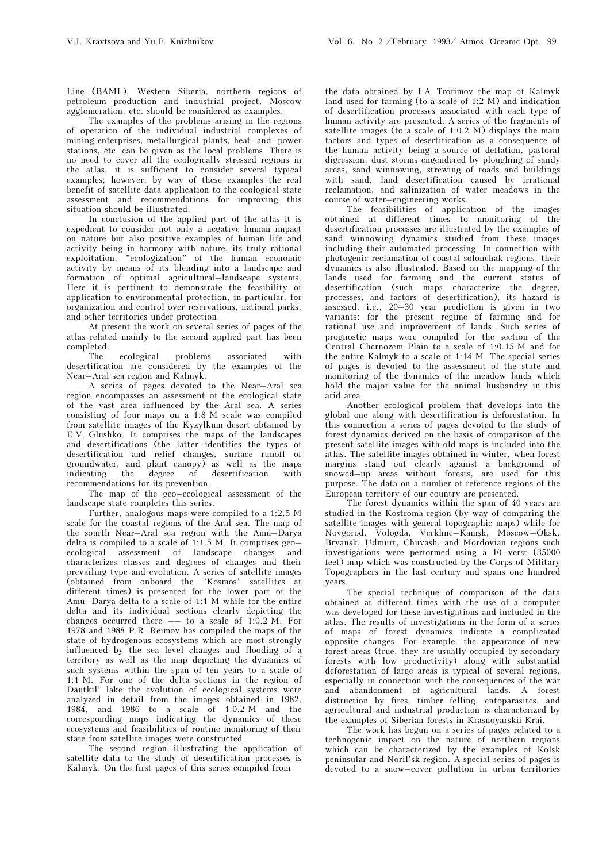Line (BAML), Western Siberia, northern regions of petroleum production and industrial project, Moscow agglomeration, etc. should be considered as examples.

The examples of the problems arising in the regions of operation of the individual industrial complexes of mining enterprises, metallurgical plants, heat–and–power stations, etc. can be given as the local problems. There is no need to cover all the ecologically stressed regions in the atlas, it is sufficient to consider several typical examples; however, by way of these examples the real benefit of satellite data application to the ecological state assessment and recommendations for improving this situation should be illustrated.

In conclusion of the applied part of the atlas it is expedient to consider not only a negative human impact on nature but also positive examples of human life and activity being in harmony with nature, its truly rational exploitation, "ecologization" of the human economic activity by means of its blending into a landscape and formation of optimal agricultural–landscape systems. Here it is pertinent to demonstrate the feasibility of application to environmental protection, in particular, for organization and control over reservations, national parks, and other territories under protection.

At present the work on several series of pages of the atlas related mainly to the second applied part has been completed.

The ecological problems associated with desertification are considered by the examples of the Near–Aral sea region and Kalmyk.

A series of pages devoted to the Near–Aral sea region encompasses an assessment of the ecological state of the vast area influenced by the Aral sea. A series consisting of four maps on a 1:8 M scale was compiled from satellite images of the Kyzylkum desert obtained by E.V. Glushko. It comprises the maps of the landscapes and desertifications (the latter identifies the types of desertification and relief changes, surface runoff of groundwater, and plant canopy $\overline{)}$  as well as the maps indicating the degree of desertification with recommendations for its prevention.

The map of the geo–ecological assessment of the landscape state completes this series.

Further, analogous maps were compiled to a 1:2.5 M scale for the coastal regions of the Aral sea. The map of the sourth Near–Aral sea region with the Amu–Darya delta is compiled to a scale of 1:1.5 M. It comprises geo– ecological assessment of landscape changes and characterizes classes and degrees of changes and their prevailing type and evolution. A series of satellite images (obtained from onboard the "Kosmos" satellites at different times) is presented for the lower part of the Amu–Darya delta to a scale of 1:1 M while for the entire delta and its individual sections clearly depicting the changes occurred there  $-$  to a scale of 1:0.2 M. For 1978 and 1988 P.R. Reimov has compiled the maps of the state of hydrogenous ecosystems which are most strongly influenced by the sea level changes and flooding of a territory as well as the map depicting the dynamics of such systems within the span of ten years to a scale of 1:1 M. For one of the delta sections in the region of Dautkil' lake the evolution of ecological systems were analyzed in detail from the images obtained in 1982, 1984, and 1986 to a scale of 1:0.2 M and the corresponding maps indicating the dynamics of these ecosystems and feasibilities of routine monitoring of their state from satellite images were constructed.

The second region illustrating the application of satellite data to the study of desertification processes is Kalmyk. On the first pages of this series compiled from

the data obtained by I.A. Trofimov the map of Kalmyk land used for farming (to a scale of 1:2 M) and indication of desertification processes associated with each type of human activity are presented. A series of the fragments of satellite images (to a scale of 1:0.2 M) displays the main factors and types of desertification as a consequence of the human activity being a source of deflation, pastoral digression, dust storms engendered by ploughing of sandy areas, sand winnowing, strewing of roads and buildings with sand, land desertification caused by irrational reclamation, and salinization of water meadows in the course of water–engineering works.

The feasibilities of application of the images obtained at different times to monitoring of the desertification processes are illustrated by the examples of sand winnowing dynamics studied from these images including their automated processing. In connection with photogenic reclamation of coastal solonchak regions, their dynamics is also illustrated. Based on the mapping of the lands used for farming and the current status of desertification (such maps characterize the degree, processes, and factors of desertification), its hazard is assessed, i.e., 20–30 year prediction is given in two variants: for the present regime of farming and for rational use and improvement of lands. Such series of prognostic maps were compiled for the section of the Central Chernozem Plain to a scale of 1:0.15 M and for the entire Kalmyk to a scale of 1:14 M. The special series of pages is devoted to the assessment of the state and monitoring of the dynamics of the meadow lands which hold the major value for the animal husbandry in this arid area.

Another ecological problem that develops into the global one along with desertification is deforestation. In this connection a series of pages devoted to the study of forest dynamics derived on the basis of comparison of the present satellite images with old maps is included into the atlas. The satellite images obtained in winter, when forest margins stand out clearly against a background of snowed–up areas without forests, are used for this purpose. The data on a number of reference regions of the European territory of our country are presented.

The forest dynamics within the span of 40 years are studied in the Kostroma region (by way of comparing the satellite images with general topographic maps) while for Novgorod, Vologda, Verkhne–Kamsk, Moscow–Oksk, Bryansk, Udmurt, Chuvash, and Mordovian regions such investigations were performed using a 10–verst (35000 feet) map which was constructed by the Corps of Military Topographers in the last century and spans one hundred years.

The special technique of comparison of the data obtained at different times with the use of a computer was developed for these investigations and included in the atlas. The results of investigations in the form of a series of maps of forest dynamics indicate a complicated opposite changes. For example, the appearance of new forest areas (true, they are usually occupied by secondary forests with low productivity) along with substantial deforestation of large areas is typical of several regions, especially in connection with the consequences of the war and abandonment of agricultural lands. A forest distruction by fires, timber felling, entoparasites, and agricultural and industrial production is characterized by the examples of Siberian forests in Krasnoyarskii Krai.

The work has begun on a series of pages related to a technogenic impact on the nature of northern regions which can be characterized by the examples of Kolsk peninsular and Noril'sk region. A special series of pages is devoted to a snow–cover pollution in urban territories